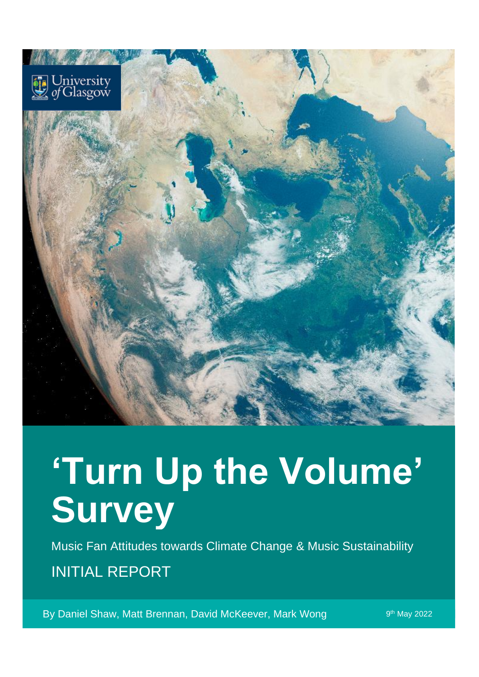

# **'Turn Up the Volume' Survey**

Music Fan Attitudes towards Climate Change & Music Sustainability INITIAL REPORT

By Daniel Shaw, Matt Brennan, David McKeever, Mark Wong

9<sup>th</sup> May 2022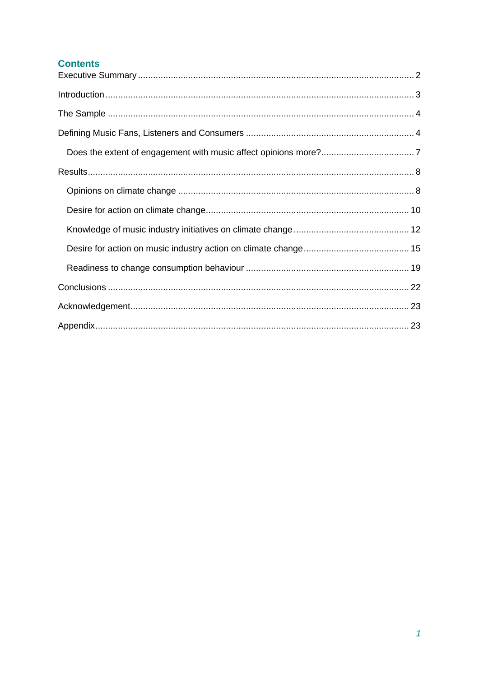## **Contents**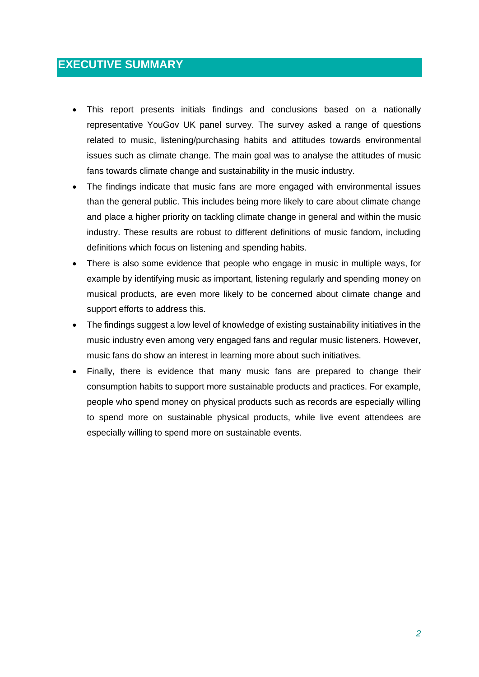## <span id="page-2-0"></span>**EXECUTIVE SUMMARY**

- This report presents initials findings and conclusions based on a nationally representative YouGov UK panel survey. The survey asked a range of questions related to music, listening/purchasing habits and attitudes towards environmental issues such as climate change. The main goal was to analyse the attitudes of music fans towards climate change and sustainability in the music industry.
- The findings indicate that music fans are more engaged with environmental issues than the general public. This includes being more likely to care about climate change and place a higher priority on tackling climate change in general and within the music industry. These results are robust to different definitions of music fandom, including definitions which focus on listening and spending habits.
- There is also some evidence that people who engage in music in multiple ways, for example by identifying music as important, listening regularly and spending money on musical products, are even more likely to be concerned about climate change and support efforts to address this.
- The findings suggest a low level of knowledge of existing sustainability initiatives in the music industry even among very engaged fans and regular music listeners. However, music fans do show an interest in learning more about such initiatives.
- Finally, there is evidence that many music fans are prepared to change their consumption habits to support more sustainable products and practices. For example, people who spend money on physical products such as records are especially willing to spend more on sustainable physical products, while live event attendees are especially willing to spend more on sustainable events.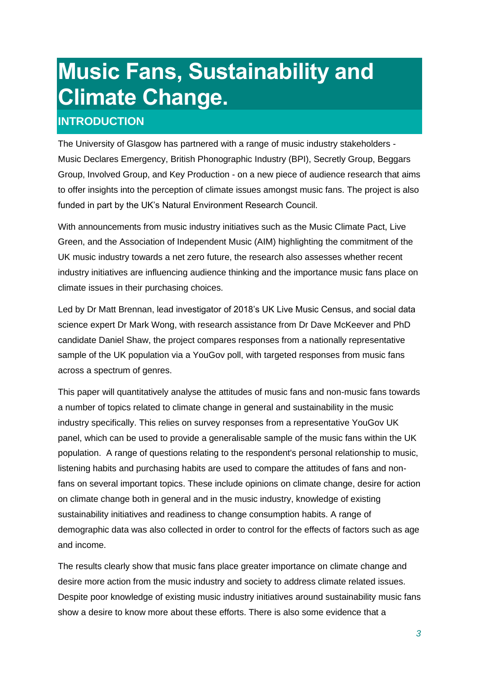## **Music Fans, Sustainability and Climate Change.**

## <span id="page-3-0"></span>**INTRODUCTION**

The University of Glasgow has partnered with a range of music industry stakeholders - Music Declares Emergency, British Phonographic Industry (BPI), Secretly Group, Beggars Group, Involved Group, and Key Production - on a new piece of audience research that aims to offer insights into the perception of climate issues amongst music fans. The project is also funded in part by the UK's Natural Environment Research Council.

With announcements from music industry initiatives such as the Music Climate Pact, Live Green, and the Association of Independent Music (AIM) highlighting the commitment of the UK music industry towards a net zero future, the research also assesses whether recent industry initiatives are influencing audience thinking and the importance music fans place on climate issues in their purchasing choices.

Led by Dr Matt Brennan, lead investigator of 2018's UK Live Music Census, and social data science expert Dr Mark Wong, with research assistance from Dr Dave McKeever and PhD candidate Daniel Shaw, the project compares responses from a nationally representative sample of the UK population via a YouGov poll, with targeted responses from music fans across a spectrum of genres.

This paper will quantitatively analyse the attitudes of music fans and non-music fans towards a number of topics related to climate change in general and sustainability in the music industry specifically. This relies on survey responses from a representative YouGov UK panel, which can be used to provide a generalisable sample of the music fans within the UK population. A range of questions relating to the respondent's personal relationship to music, listening habits and purchasing habits are used to compare the attitudes of fans and nonfans on several important topics. These include opinions on climate change, desire for action on climate change both in general and in the music industry, knowledge of existing sustainability initiatives and readiness to change consumption habits. A range of demographic data was also collected in order to control for the effects of factors such as age and income.

The results clearly show that music fans place greater importance on climate change and desire more action from the music industry and society to address climate related issues. Despite poor knowledge of existing music industry initiatives around sustainability music fans show a desire to know more about these efforts. There is also some evidence that a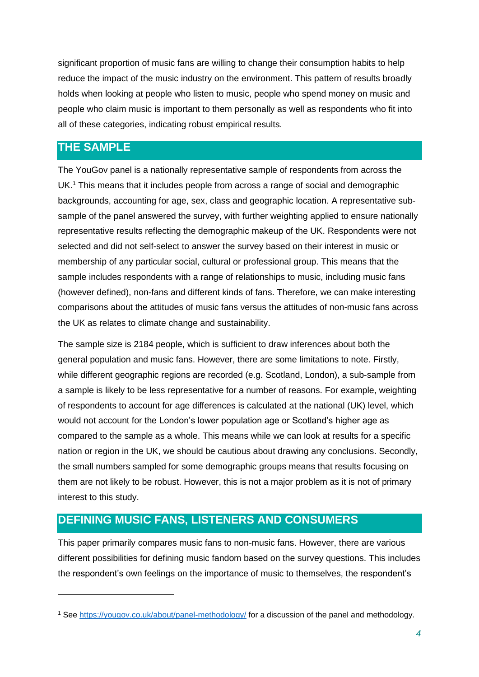significant proportion of music fans are willing to change their consumption habits to help reduce the impact of the music industry on the environment. This pattern of results broadly holds when looking at people who listen to music, people who spend money on music and people who claim music is important to them personally as well as respondents who fit into all of these categories, indicating robust empirical results.

## <span id="page-4-0"></span>**THE SAMPLE**

The YouGov panel is a nationally representative sample of respondents from across the UK.<sup>1</sup> This means that it includes people from across a range of social and demographic backgrounds, accounting for age, sex, class and geographic location. A representative subsample of the panel answered the survey, with further weighting applied to ensure nationally representative results reflecting the demographic makeup of the UK. Respondents were not selected and did not self-select to answer the survey based on their interest in music or membership of any particular social, cultural or professional group. This means that the sample includes respondents with a range of relationships to music, including music fans (however defined), non-fans and different kinds of fans. Therefore, we can make interesting comparisons about the attitudes of music fans versus the attitudes of non-music fans across the UK as relates to climate change and sustainability.

The sample size is 2184 people, which is sufficient to draw inferences about both the general population and music fans. However, there are some limitations to note. Firstly, while different geographic regions are recorded (e.g. Scotland, London), a sub-sample from a sample is likely to be less representative for a number of reasons. For example, weighting of respondents to account for age differences is calculated at the national (UK) level, which would not account for the London's lower population age or Scotland's higher age as compared to the sample as a whole. This means while we can look at results for a specific nation or region in the UK, we should be cautious about drawing any conclusions. Secondly, the small numbers sampled for some demographic groups means that results focusing on them are not likely to be robust. However, this is not a major problem as it is not of primary interest to this study.

## <span id="page-4-1"></span>**DEFINING MUSIC FANS, LISTENERS AND CONSUMERS**

This paper primarily compares music fans to non-music fans. However, there are various different possibilities for defining music fandom based on the survey questions. This includes the respondent's own feelings on the importance of music to themselves, the respondent's

<sup>1</sup> See<https://yougov.co.uk/about/panel-methodology/> for a discussion of the panel and methodology.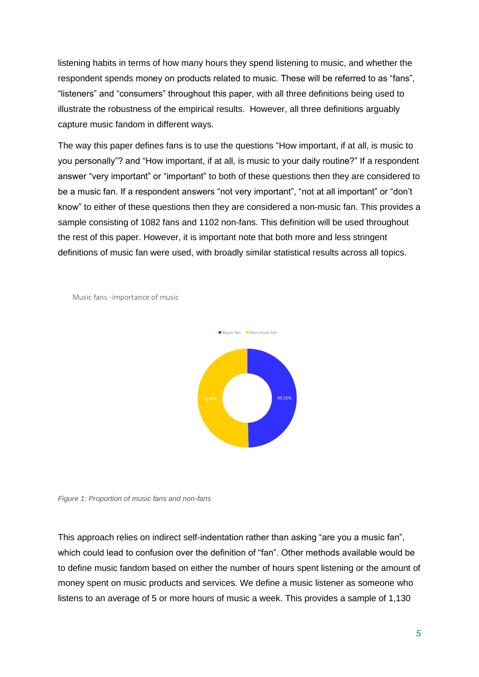listening habits in terms of how many hours they spend listening to music, and whether the respondent spends money on products related to music. These will be referred to as "fans", "listeners" and "consumers" throughout this paper, with all three definitions being used to illustrate the robustness of the empirical results. However, all three definitions arguably capture music fandom in different ways.

The way this paper defines fans is to use the questions "How important, if at all, is music to you personally"? and "How important, if at all, is music to your daily routine?" If a respondent answer "very important" or "important" to both of these questions then they are considered to be a music fan. If a respondent answers "not very important", "not at all important" or "don't know" to either of these questions then they are considered a non-music fan. This provides a sample consisting of 1082 fans and 1102 non-fans. This definition will be used throughout the rest of this paper. However, it is important note that both more and less stringent definitions of music fan were used, with broadly similar statistical results across all topics.







This approach relies on indirect self-indentation rather than asking "are you a music fan", which could lead to confusion over the definition of "fan". Other methods available would be to define music fandom based on either the number of hours spent listening or the amount of money spent on music products and services. We define a music listener as someone who listens to an average of 5 or more hours of music a week. This provides a sample of 1,130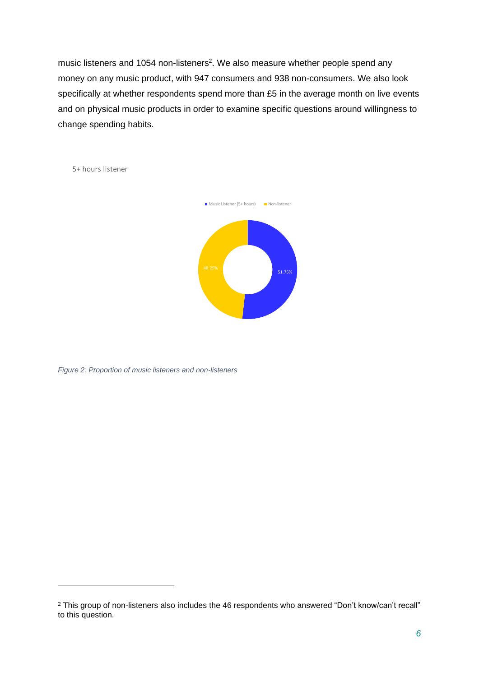music listeners and 1054 non-listeners<sup>2</sup>. We also measure whether people spend any money on any music product, with 947 consumers and 938 non-consumers. We also look specifically at whether respondents spend more than £5 in the average month on live events and on physical music products in order to examine specific questions around willingness to change spending habits.

5+ hours listener



*Figure 2: Proportion of music listeners and non-listeners*

<sup>&</sup>lt;sup>2</sup> This group of non-listeners also includes the 46 respondents who answered "Don't know/can't recall" to this question.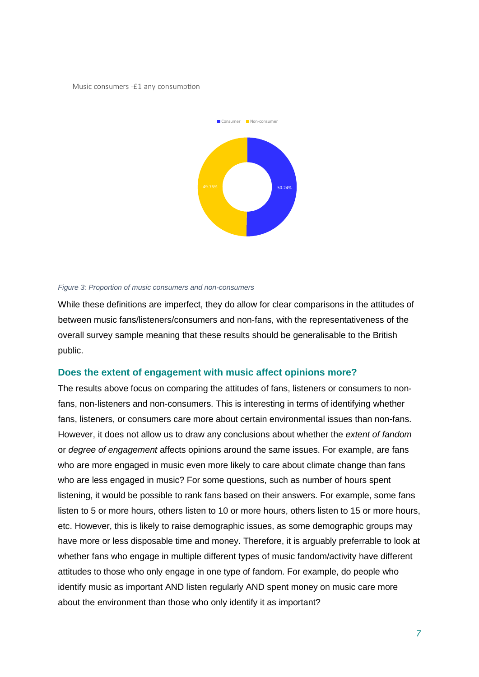Music consumers -£1 any consumption



#### *Figure 3: Proportion of music consumers and non-consumers*

While these definitions are imperfect, they do allow for clear comparisons in the attitudes of between music fans/listeners/consumers and non-fans, with the representativeness of the overall survey sample meaning that these results should be generalisable to the British public.

#### <span id="page-7-0"></span>**Does the extent of engagement with music affect opinions more?**

The results above focus on comparing the attitudes of fans, listeners or consumers to nonfans, non-listeners and non-consumers. This is interesting in terms of identifying whether fans, listeners, or consumers care more about certain environmental issues than non-fans. However, it does not allow us to draw any conclusions about whether the *extent of fandom* or *degree of engagement* affects opinions around the same issues. For example, are fans who are more engaged in music even more likely to care about climate change than fans who are less engaged in music? For some questions, such as number of hours spent listening, it would be possible to rank fans based on their answers. For example, some fans listen to 5 or more hours, others listen to 10 or more hours, others listen to 15 or more hours, etc. However, this is likely to raise demographic issues, as some demographic groups may have more or less disposable time and money. Therefore, it is arguably preferrable to look at whether fans who engage in multiple different types of music fandom/activity have different attitudes to those who only engage in one type of fandom. For example, do people who identify music as important AND listen regularly AND spent money on music care more about the environment than those who only identify it as important?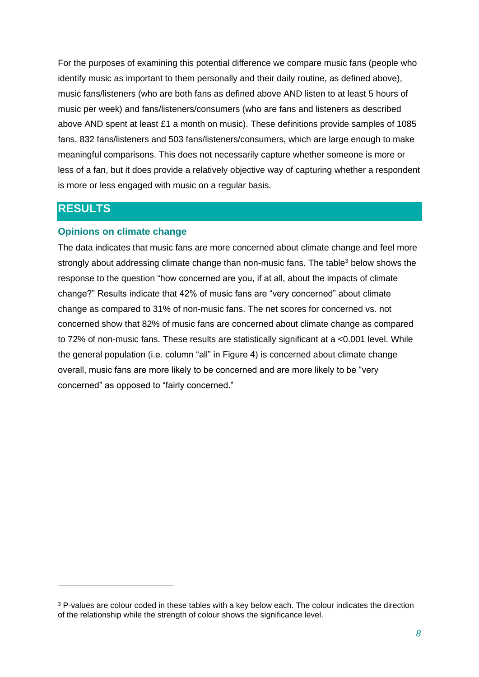For the purposes of examining this potential difference we compare music fans (people who identify music as important to them personally and their daily routine, as defined above), music fans/listeners (who are both fans as defined above AND listen to at least 5 hours of music per week) and fans/listeners/consumers (who are fans and listeners as described above AND spent at least £1 a month on music). These definitions provide samples of 1085 fans, 832 fans/listeners and 503 fans/listeners/consumers, which are large enough to make meaningful comparisons. This does not necessarily capture whether someone is more or less of a fan, but it does provide a relatively objective way of capturing whether a respondent is more or less engaged with music on a regular basis.

## <span id="page-8-0"></span>**RESULTS**

## <span id="page-8-1"></span>**Opinions on climate change**

The data indicates that music fans are more concerned about climate change and feel more strongly about addressing climate change than non-music fans. The table<sup>3</sup> below shows the response to the question "how concerned are you, if at all, about the impacts of climate change?" Results indicate that 42% of music fans are "very concerned" about climate change as compared to 31% of non-music fans. The net scores for concerned vs. not concerned show that 82% of music fans are concerned about climate change as compared to 72% of non-music fans. These results are statistically significant at a <0.001 level. While the general population (i.e. column "all" in Figure 4) is concerned about climate change overall, music fans are more likely to be concerned and are more likely to be "very concerned" as opposed to "fairly concerned."

<sup>&</sup>lt;sup>3</sup> P-values are colour coded in these tables with a key below each. The colour indicates the direction of the relationship while the strength of colour shows the significance level.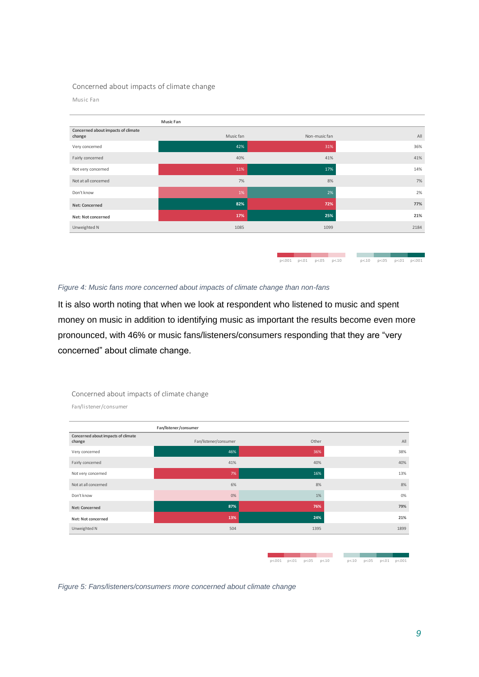#### Concerned about impacts of climate change

#### Music Fan

|                                              | <b>Music Fan</b> |               |      |
|----------------------------------------------|------------------|---------------|------|
| Concerned about impacts of climate<br>change | Music fan        | Non-music fan | All  |
| Very concerned                               | 42%              | 31%           | 36%  |
| Fairly concerned                             | 40%              | 41%           | 41%  |
| Not very concerned                           | 11%              | 17%           | 14%  |
| Not at all concerned                         | 7%               | 8%            | 7%   |
| Don't know                                   | 1%               | 2%            | 2%   |
| Net: Concerned                               | 82%              | 72%           | 77%  |
| Net: Not concerned                           | 17%              | 25%           | 21%  |
| Unweighted N                                 | 1085             | 1099          | 2184 |
|                                              |                  |               |      |
|                                              |                  |               |      |

*Figure 4: Music fans more concerned about impacts of climate change than non-fans*

It is also worth noting that when we look at respondent who listened to music and spent money on music in addition to identifying music as important the results become even more pronounced, with 46% or music fans/listeners/consumers responding that they are "very concerned" about climate change.

| Fan/listener/consumer                        |                       |       |      |  |  |
|----------------------------------------------|-----------------------|-------|------|--|--|
| Concerned about impacts of climate<br>change | Fan/listener/consumer | Other | All  |  |  |
| Very concerned                               | 46%                   | 36%   | 38%  |  |  |
| Fairly concerned                             | 41%                   | 40%   | 40%  |  |  |
| Not very concerned                           | 7%                    | 16%   | 13%  |  |  |
| Not at all concerned                         | 6%                    | 8%    | 8%   |  |  |
| Don't know                                   | 0%                    | 1%    | 0%   |  |  |
| Net: Concerned                               | 87%                   | 76%   | 79%  |  |  |
| Net: Not concerned                           | 13%                   | 24%   | 21%  |  |  |
| Unweighted N                                 | 504                   | 1395  | 1899 |  |  |

Concerned about impacts of climate change

Fan/listener/consumer

 $p < 001$   $p < 01$   $p < 05$   $p < 10$ 

 $p<0.01$   $p<0.1$   $p<0.5$   $p<0.10$ 

<u>e de la pro</u>  $p<.10$   $p<.05$   $p<.01$   $p<.00$ 

 $p<.10$   $p<.05$   $p<.01$   $p<.001$ 

*Figure 5: Fans/listeners/consumers more concerned about climate change*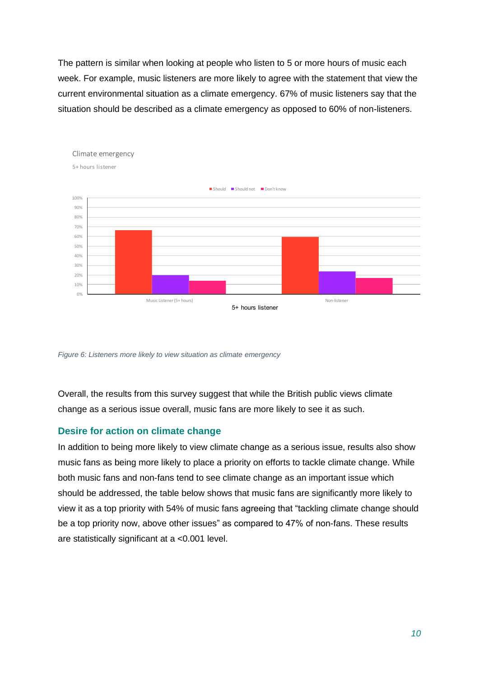The pattern is similar when looking at people who listen to 5 or more hours of music each week. For example, music listeners are more likely to agree with the statement that view the current environmental situation as a climate emergency. 67% of music listeners say that the situation should be described as a climate emergency as opposed to 60% of non-listeners.



*Figure 6: Listeners more likely to view situation as climate emergency*

Overall, the results from this survey suggest that while the British public views climate change as a serious issue overall, music fans are more likely to see it as such.

## <span id="page-10-0"></span>**Desire for action on climate change**

In addition to being more likely to view climate change as a serious issue, results also show music fans as being more likely to place a priority on efforts to tackle climate change. While both music fans and non-fans tend to see climate change as an important issue which should be addressed, the table below shows that music fans are significantly more likely to view it as a top priority with 54% of music fans agreeing that "tackling climate change should be a top priority now, above other issues" as compared to 47% of non-fans. These results are statistically significant at a <0.001 level.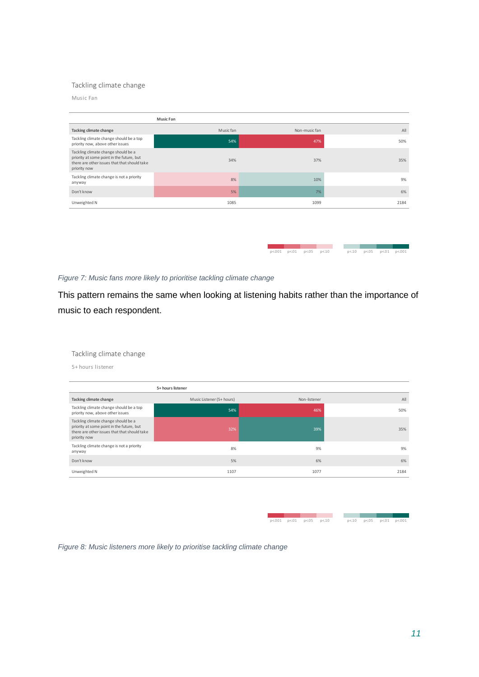#### Tackling climate change

Music Fan

|                                                                                                                                                  | <b>Music Fan</b> |               |      |
|--------------------------------------------------------------------------------------------------------------------------------------------------|------------------|---------------|------|
| Tacking climate change                                                                                                                           | Music fan        | Non-music fan | All  |
| Tackling climate change should be a top<br>priority now, above other issues                                                                      | 54%              | 47%           | 50%  |
| Tackling climate change should be a<br>priority at some point in the future, but<br>there are other issues that that should take<br>priority now | 34%              | 37%           | 35%  |
| Tackling climate change is not a priority<br>anyway                                                                                              | 8%               | 10%           | 9%   |
| Don't know                                                                                                                                       | 5%               | 7%            | 6%   |
| Unweighted N                                                                                                                                     | 1085             | 1099          | 2184 |
|                                                                                                                                                  |                  |               |      |

*Figure 7: Music fans more likely to prioritise tackling climate change*

This pattern remains the same when looking at listening habits rather than the importance of music to each respondent.

 $p < 001$   $p < 01$   $p < 05$   $p < 10$ 

 $p<10$   $p<.05$   $p<.01$   $p<.001$ 

Tackling climate change

5+ hours listener

|                                                                                                                                                  | 5+ hours listener         |              |      |
|--------------------------------------------------------------------------------------------------------------------------------------------------|---------------------------|--------------|------|
| Tacking climate change                                                                                                                           | Music Listener (5+ hours) | Non-listener | All  |
| Tackling climate change should be a top<br>priority now, above other issues                                                                      | 54%                       | 46%          | 50%  |
| Tackling climate change should be a<br>priority at some point in the future, but<br>there are other issues that that should take<br>priority now | 32%                       | 39%          | 35%  |
| Tackling climate change is not a priority<br>anyway                                                                                              | 8%                        | 9%           | 9%   |
| Don't know                                                                                                                                       | 5%                        | 6%           | 6%   |
| Unweighted N                                                                                                                                     | 1107                      | 1077         | 2184 |

|  | p<.001 p<.01 p<.05 p<.10 |  |  |  | p<.10 p<.05 p<.01 p<.001 |
|--|--------------------------|--|--|--|--------------------------|

*Figure 8: Music listeners more likely to prioritise tackling climate change*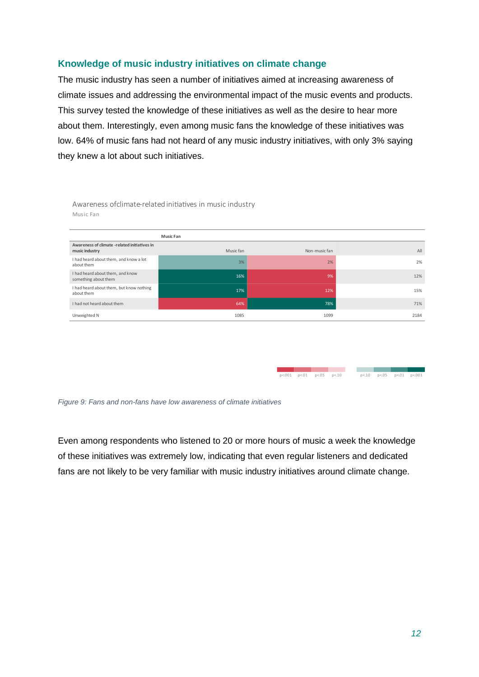## <span id="page-12-0"></span>**Knowledge of music industry initiatives on climate change**

The music industry has seen a number of initiatives aimed at increasing awareness of climate issues and addressing the environmental impact of the music events and products. This survey tested the knowledge of these initiatives as well as the desire to hear more about them. Interestingly, even among music fans the knowledge of these initiatives was low. 64% of music fans had not heard of any music industry initiatives, with only 3% saying they knew a lot about such initiatives.

Awareness ofclimate-related initiatives in music industry Music Fan

|                                                                | <b>Music Fan</b> |               |      |
|----------------------------------------------------------------|------------------|---------------|------|
| Awareness of climate -related initiatives in<br>music industry | Music fan        | Non-music fan | All  |
| I had heard about them, and know a lot<br>about them           | 3%               | 2%            | 2%   |
| I had heard about them, and know<br>something about them       | 16%              | 9%            | 12%  |
| I had heard about them, but know nothing<br>about them         | 17%              | 12%           | 15%  |
| I had not heard about them                                     | 64%              | 78%           | 71%  |
| Unweighted N                                                   | 1085             | 1099          | 2184 |

|  |  |  |  | p<.10 p<.05 p<.01 p<.001 |
|--|--|--|--|--------------------------|

*Figure 9: Fans and non-fans have low awareness of climate initiatives*

Even among respondents who listened to 20 or more hours of music a week the knowledge of these initiatives was extremely low, indicating that even regular listeners and dedicated fans are not likely to be very familiar with music industry initiatives around climate change.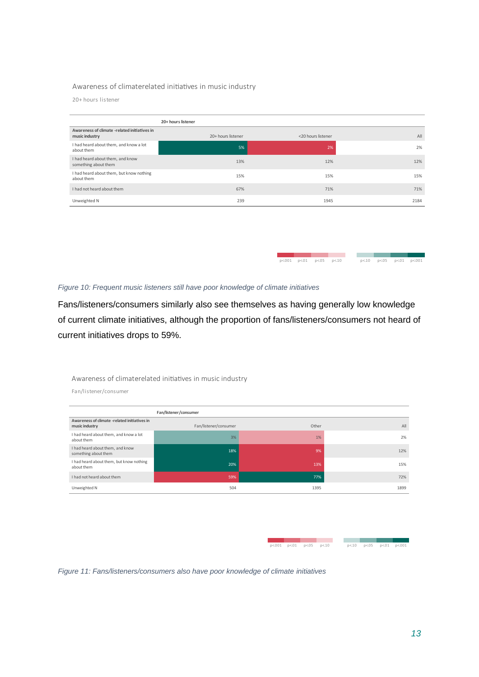#### Awareness of climaterelated initiatives in music industry

20+ hours listener

|                                                                | 20+ hours listener |                    |      |
|----------------------------------------------------------------|--------------------|--------------------|------|
| Awareness of climate -related initiatives in<br>music industry | 20+ hours listener | <20 hours listener | All  |
| I had heard about them, and know a lot<br>about them           | 5%                 | 2%                 | 2%   |
| I had heard about them, and know<br>something about them       | 13%                | 12%                | 12%  |
| I had heard about them, but know nothing<br>about them         | 15%                | 15%                | 15%  |
| I had not heard about them                                     | 67%                | 71%                | 71%  |
| Unweighted N                                                   | 239                | 1945               | 2184 |

| Figure 10: Frequent music listeners still have poor knowledge of climate initiatives |  |
|--------------------------------------------------------------------------------------|--|

Fans/listeners/consumers similarly also see themselves as having generally low knowledge of current climate initiatives, although the proportion of fans/listeners/consumers not heard of current initiatives drops to 59%.

#### Awareness of climaterelated initiatives in music industry

Fan/listener/consumer

|                                                                | Fan/listener/consumer |       |      |
|----------------------------------------------------------------|-----------------------|-------|------|
| Awareness of climate -related initiatives in<br>music industry | Fan/listener/consumer | Other | All  |
| I had heard about them, and know a lot<br>about them           | 3%                    | 1%    | 2%   |
| I had heard about them, and know<br>something about them       | 18%                   | 9%    | 12%  |
| I had heard about them, but know nothing<br>about them         | 20%                   | 13%   | 15%  |
| I had not heard about them                                     | 59%                   | 77%   | 72%  |
| Unweighted N                                                   | 504                   | 1395  | 1899 |

 $p < 001$   $p < 01$   $p < 05$  $p<10$ 

 $p<0.01$   $p<0.1$   $p<0.5$   $p<0.10$ 

**COL** 

a kacamatan  $p<.10$   $p<.05$   $p<.01$   $p<.001$ 

**College** - 1  $n < 10$  $p < 05$   $p < 01$   $p < 001$ 

*Figure 11: Fans/listeners/consumers also have poor knowledge of climate initiatives*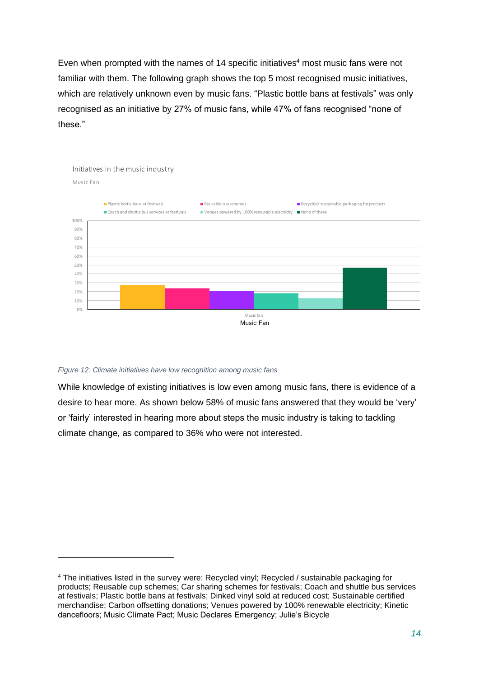Even when prompted with the names of 14 specific initiatives<sup>4</sup> most music fans were not familiar with them. The following graph shows the top 5 most recognised music initiatives, which are relatively unknown even by music fans. "Plastic bottle bans at festivals" was only recognised as an initiative by 27% of music fans, while 47% of fans recognised "none of these."



#### *Figure 12: Climate initiatives have low recognition among music fans*

While knowledge of existing initiatives is low even among music fans, there is evidence of a desire to hear more. As shown below 58% of music fans answered that they would be 'very' or 'fairly' interested in hearing more about steps the music industry is taking to tackling climate change, as compared to 36% who were not interested.

<sup>4</sup> The initiatives listed in the survey were: Recycled vinyl; Recycled / sustainable packaging for products; Reusable cup schemes; Car sharing schemes for festivals; Coach and shuttle bus services at festivals; Plastic bottle bans at festivals; Dinked vinyl sold at reduced cost; Sustainable certified merchandise; Carbon offsetting donations; Venues powered by 100% renewable electricity; Kinetic dancefloors; Music Climate Pact; Music Declares Emergency; Julie's Bicycle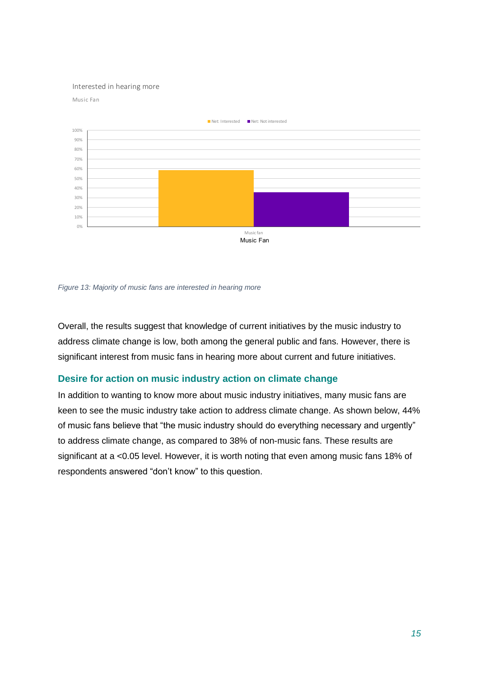#### Interested in hearing more





*Figure 13: Majority of music fans are interested in hearing more*

Overall, the results suggest that knowledge of current initiatives by the music industry to address climate change is low, both among the general public and fans. However, there is significant interest from music fans in hearing more about current and future initiatives.

#### <span id="page-15-0"></span>**Desire for action on music industry action on climate change**

In addition to wanting to know more about music industry initiatives, many music fans are keen to see the music industry take action to address climate change. As shown below, 44% of music fans believe that "the music industry should do everything necessary and urgently" to address climate change, as compared to 38% of non-music fans. These results are significant at a <0.05 level. However, it is worth noting that even among music fans 18% of respondents answered "don't know" to this question.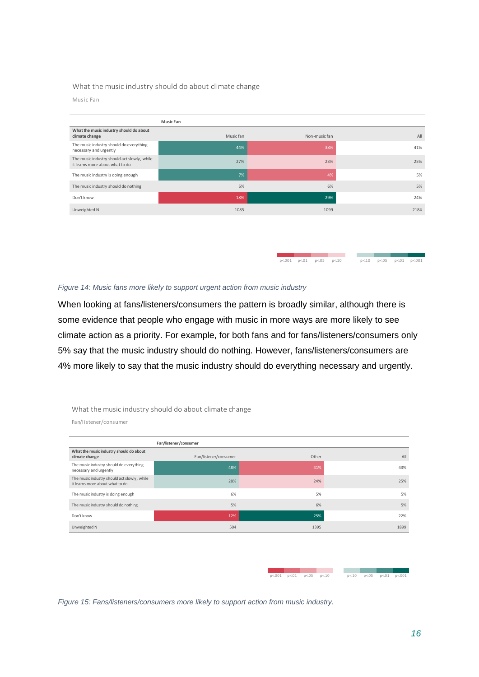#### What the music industry should do about climate change

#### Music Fan

|                                                                                | <b>Music Fan</b> |               |      |
|--------------------------------------------------------------------------------|------------------|---------------|------|
| What the music industry should do about<br>climate change                      | Music fan        | Non-music fan | All  |
| The music industry should do everything<br>necessary and urgently              | 44%              | 38%           | 41%  |
| The music industry should act slowly, while<br>it learns more about what to do | 27%              | 23%           | 25%  |
| The music industry is doing enough                                             | 7%               | 4%            | 5%   |
| The music industry should do nothing                                           | 5%               | 6%            | 5%   |
| Don't know                                                                     | 18%              | 29%           | 24%  |
| Unweighted N                                                                   | 1085             | 1099          | 2184 |

 $p<.001$   $p<.01$   $p<.05$   $p<.10$ 

 $\mathcal{L}_{\rm{max}}$ 

**COL** 

and the control  $p<10$   $p<.05$   $p<.01$   $p<.001$ 

*Figure 14: Music fans more likely to support urgent action from music industry*

When looking at fans/listeners/consumers the pattern is broadly similar, although there is some evidence that people who engage with music in more ways are more likely to see climate action as a priority. For example, for both fans and for fans/listeners/consumers only 5% say that the music industry should do nothing. However, fans/listeners/consumers are 4% more likely to say that the music industry should do everything necessary and urgently.

#### What the music industry should do about climate change

Fan/listener/consumer

| Fan/listener/consumer                                                          |                       |       |      |  |  |  |  |  |  |
|--------------------------------------------------------------------------------|-----------------------|-------|------|--|--|--|--|--|--|
| What the music industry should do about<br>climate change                      | Fan/listener/consumer | Other | All  |  |  |  |  |  |  |
| The music industry should do everything<br>necessary and urgently              | 48%                   | 41%   | 43%  |  |  |  |  |  |  |
| The music industry should act slowly, while<br>it learns more about what to do | 28%                   | 24%   | 25%  |  |  |  |  |  |  |
| The music industry is doing enough                                             | 6%                    | 5%    | 5%   |  |  |  |  |  |  |
| The music industry should do nothing                                           | 5%                    | 6%    | 5%   |  |  |  |  |  |  |
| Don't know                                                                     | 12%                   | 25%   | 22%  |  |  |  |  |  |  |
| Unweighted N                                                                   | 504                   | 1395  | 1899 |  |  |  |  |  |  |

|  | p<.001 p<.01 p<.05 p<.10 |  | p<.10 p<.05 p<.01 p<.001 |  |
|--|--------------------------|--|--------------------------|--|

*Figure 15: Fans/listeners/consumers more likely to support action from music industry.*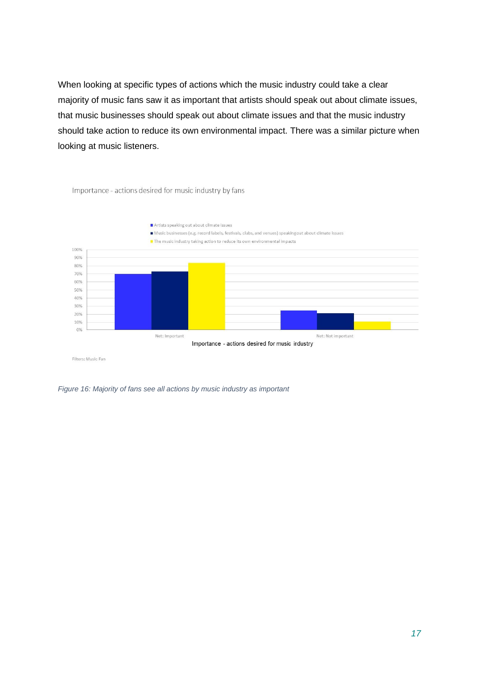When looking at specific types of actions which the music industry could take a clear majority of music fans saw it as important that artists should speak out about climate issues, that music businesses should speak out about climate issues and that the music industry should take action to reduce its own environmental impact. There was a similar picture when looking at music listeners.



Importance - actions desired for music industry by fans

Filters: Music Fan

*Figure 16: Majority of fans see all actions by music industry as important*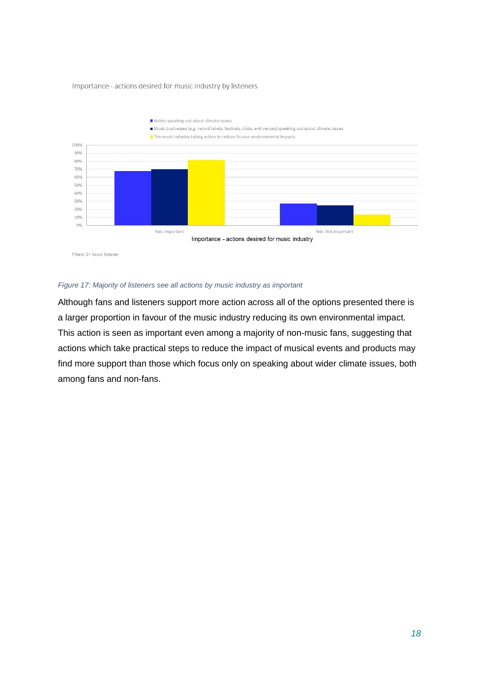#### Importance - actions desired for music industry by listeners



#### *Figure 17: Majority of listeners see all actions by music industry as important*

Although fans and listeners support more action across all of the options presented there is a larger proportion in favour of the music industry reducing its own environmental impact. This action is seen as important even among a majority of non-music fans, suggesting that actions which take practical steps to reduce the impact of musical events and products may find more support than those which focus only on speaking about wider climate issues, both among fans and non-fans.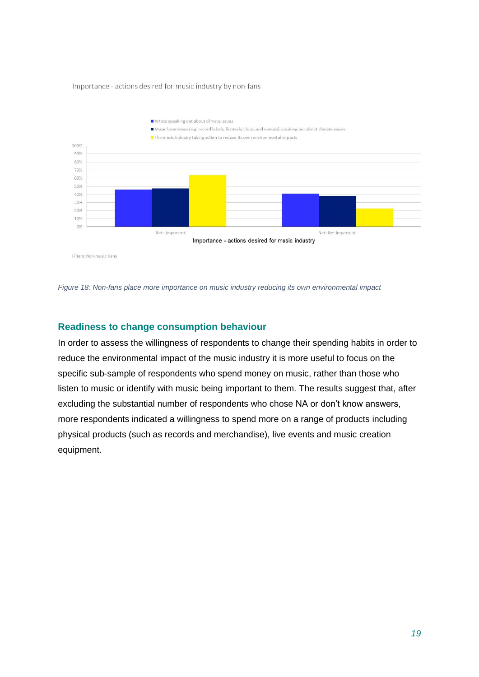#### Importance - actions desired for music industry by non-fans



*Figure 18: Non-fans place more importance on music industry reducing its own environmental impact*

## <span id="page-19-0"></span>**Readiness to change consumption behaviour**

In order to assess the willingness of respondents to change their spending habits in order to reduce the environmental impact of the music industry it is more useful to focus on the specific sub-sample of respondents who spend money on music, rather than those who listen to music or identify with music being important to them. The results suggest that, after excluding the substantial number of respondents who chose NA or don't know answers, more respondents indicated a willingness to spend more on a range of products including physical products (such as records and merchandise), live events and music creation equipment.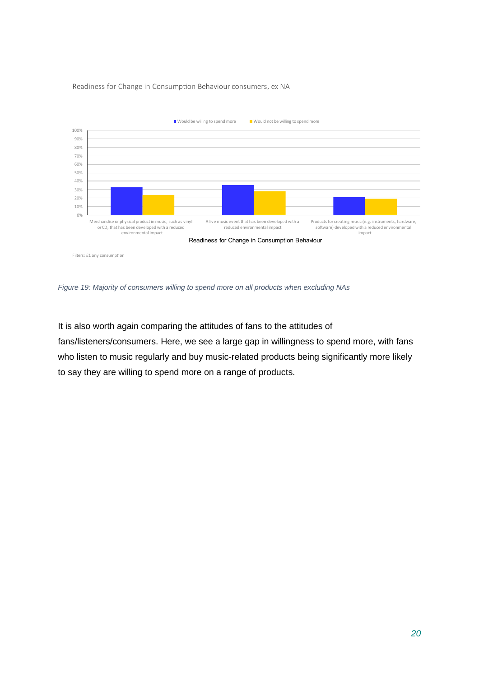#### Readiness for Change in Consumption Behaviour consumers, ex NA



*Figure 19: Majority of consumers willing to spend more on all products when excluding NAs*

It is also worth again comparing the attitudes of fans to the attitudes of fans/listeners/consumers. Here, we see a large gap in willingness to spend more, with fans who listen to music regularly and buy music-related products being significantly more likely to say they are willing to spend more on a range of products.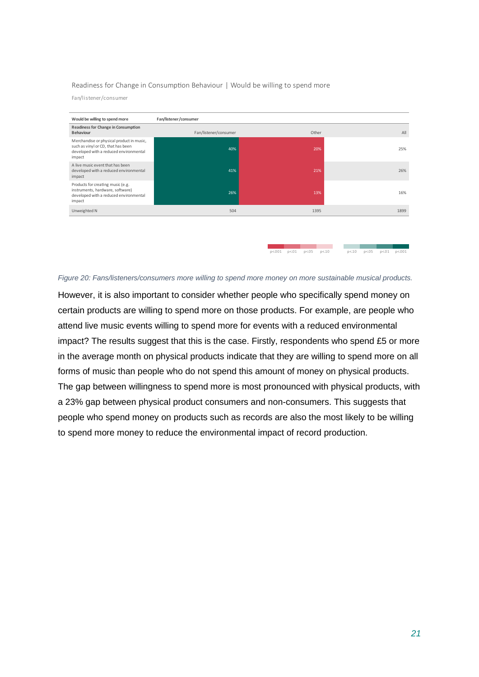#### Readiness for Change in Consumption Behaviour | Would be willing to spend more

Fan/listener/consumer



#### *Figure 20: Fans/listeners/consumers more willing to spend more money on more sustainable musical products.*

However, it is also important to consider whether people who specifically spend money on certain products are willing to spend more on those products. For example, are people who attend live music events willing to spend more for events with a reduced environmental impact? The results suggest that this is the case. Firstly, respondents who spend £5 or more in the average month on physical products indicate that they are willing to spend more on all forms of music than people who do not spend this amount of money on physical products. The gap between willingness to spend more is most pronounced with physical products, with a 23% gap between physical product consumers and non-consumers. This suggests that people who spend money on products such as records are also the most likely to be willing to spend more money to reduce the environmental impact of record production.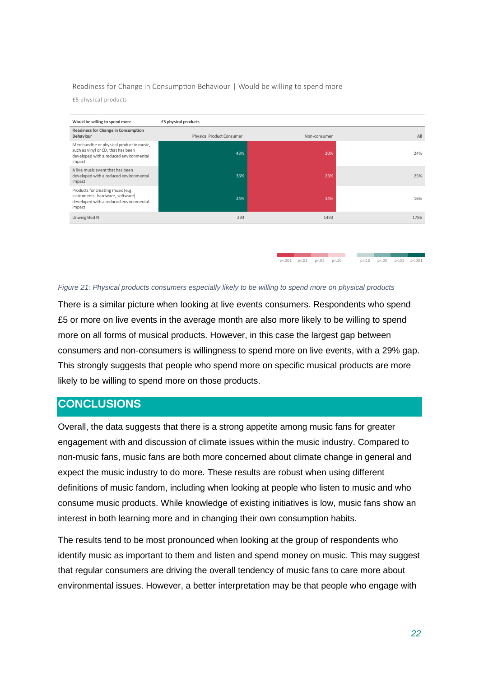#### Readiness for Change in Consumption Behaviour | Would be willing to spend more

£5 physical products



 $p < 001$   $p < 01$   $p < 05$ 

 $p<10$ 

 $p<.10$   $p<.05$   $p<.01$   $p<.001$ 

#### *Figure 21: Physical products consumers especially likely to be willing to spend more on physical products*

There is a similar picture when looking at live events consumers. Respondents who spend £5 or more on live events in the average month are also more likely to be willing to spend more on all forms of musical products. However, in this case the largest gap between consumers and non-consumers is willingness to spend more on live events, with a 29% gap. This strongly suggests that people who spend more on specific musical products are more likely to be willing to spend more on those products.

## <span id="page-22-0"></span>**CONCLUSIONS**

Overall, the data suggests that there is a strong appetite among music fans for greater engagement with and discussion of climate issues within the music industry. Compared to non-music fans, music fans are both more concerned about climate change in general and expect the music industry to do more. These results are robust when using different definitions of music fandom, including when looking at people who listen to music and who consume music products. While knowledge of existing initiatives is low, music fans show an interest in both learning more and in changing their own consumption habits.

The results tend to be most pronounced when looking at the group of respondents who identify music as important to them and listen and spend money on music. This may suggest that regular consumers are driving the overall tendency of music fans to care more about environmental issues. However, a better interpretation may be that people who engage with